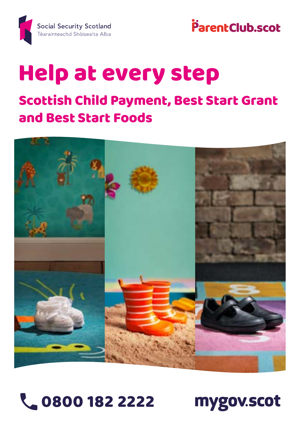



# Help at every step

### Scottish Child Payment, Best Start Grant and Best Start Foods





mygov.scot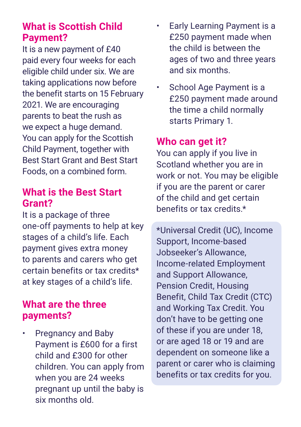#### **What is Scottish Child Payment?**

It is a new payment of £40 paid every four weeks for each eligible child under six. We are taking applications now before the benefit starts on 15 February 2021. We are encouraging parents to beat the rush as we expect a huge demand. You can apply for the Scottish Child Payment, together with Best Start Grant and Best Start Foods, on a combined form.

#### **What is the Best Start Grant?**

It is a package of three one-off payments to help at key stages of a child's life. Each payment gives extra money to parents and carers who get certain benefits or tax credits\* at key stages of a child's life.

#### **What are the three payments?**

• Pregnancy and Baby Payment is £600 for a first child and £300 for other children. You can apply from when you are 24 weeks pregnant up until the baby is six months old.

- Early Learning Payment is a £250 payment made when the child is between the ages of two and three years and six months.
- School Age Payment is a £250 payment made around the time a child normally starts Primary 1.

#### **Who can get it?**

You can apply if you live in Scotland whether you are in work or not. You may be eligible if you are the parent or carer of the child and get certain benefits or tax credits.\*

\*Universal Credit (UC), Income Support, Income-based Jobseeker's Allowance, Income-related Employment and Support Allowance, Pension Credit, Housing Benefit, Child Tax Credit (CTC) and Working Tax Credit. You don't have to be getting one of these if you are under 18, or are aged 18 or 19 and are dependent on someone like a parent or carer who is claiming benefits or tax credits for you.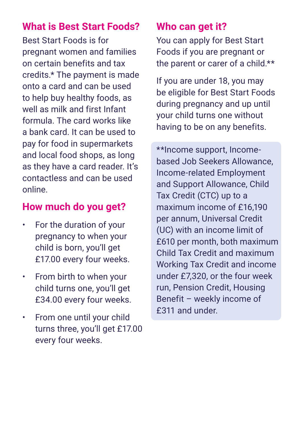#### **What is Best Start Foods?**

Best Start Foods is for pregnant women and families on certain benefits and tax credits.\* The payment is made onto a card and can be used to help buy healthy foods, as well as milk and first Infant formula. The card works like a bank card. It can be used to pay for food in supermarkets and local food shops, as long as they have a card reader. It's contactless and can be used online.

#### **How much do you get?**

- For the duration of your pregnancy to when your child is born, you'll get £17.00 every four weeks.
- From birth to when your child turns one, you'll get £34.00 every four weeks.
- From one until your child turns three, you'll get £17.00 every four weeks.

#### **Who can get it?**

You can apply for Best Start Foods if you are pregnant or the parent or carer of a child.\*\*

If you are under 18, you may be eligible for Best Start Foods during pregnancy and up until your child turns one without having to be on any benefits.

\*\*Income support, Incomebased Job Seekers Allowance, Income-related Employment and Support Allowance, Child Tax Credit (CTC) up to a maximum income of £16,190 per annum, Universal Credit (UC) with an income limit of £610 per month, both maximum Child Tax Credit and maximum Working Tax Credit and income under £7,320, or the four week run, Pension Credit, Housing Benefit – weekly income of £311 and under.